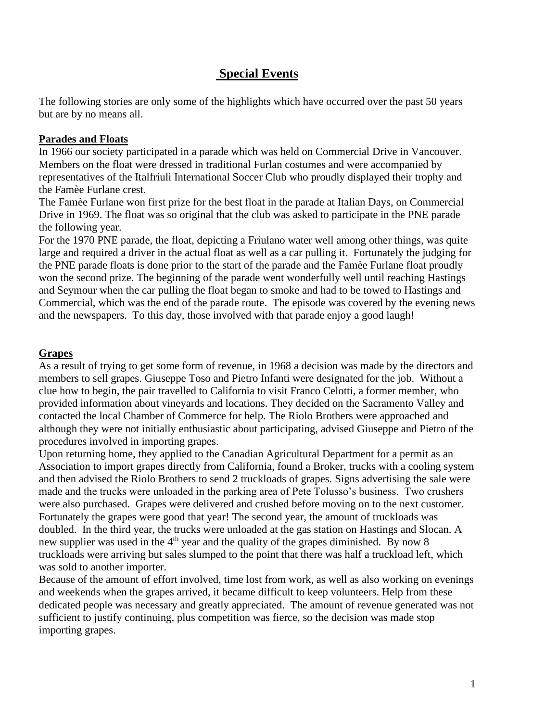# **Special Events**

The following stories are only some of the highlights which have occurred over the past 50 years but are by no means all.

## **Parades and Floats**

In 1966 our society participated in a parade which was held on Commercial Drive in Vancouver. Members on the float were dressed in traditional Furlan costumes and were accompanied by representatives of the Italfriuli International Soccer Club who proudly displayed their trophy and the Famèe Furlane crest.

The Famèe Furlane won first prize for the best float in the parade at Italian Days, on Commercial Drive in 1969. The float was so original that the club was asked to participate in the PNE parade the following year.

For the 1970 PNE parade, the float, depicting a Friulano water well among other things, was quite large and required a driver in the actual float as well as a car pulling it. Fortunately the judging for the PNE parade floats is done prior to the start of the parade and the Famèe Furlane float proudly won the second prize. The beginning of the parade went wonderfully well until reaching Hastings and Seymour when the car pulling the float began to smoke and had to be towed to Hastings and Commercial, which was the end of the parade route. The episode was covered by the evening news and the newspapers. To this day, those involved with that parade enjoy a good laugh!

# **Grapes**

As a result of trying to get some form of revenue, in 1968 a decision was made by the directors and members to sell grapes. Giuseppe Toso and Pietro Infanti were designated for the job. Without a clue how to begin, the pair travelled to California to visit Franco Celotti, a former member, who provided information about vineyards and locations. They decided on the Sacramento Valley and contacted the local Chamber of Commerce for help. The Riolo Brothers were approached and although they were not initially enthusiastic about participating, advised Giuseppe and Pietro of the procedures involved in importing grapes.

Upon returning home, they applied to the Canadian Agricultural Department for a permit as an Association to import grapes directly from California, found a Broker, trucks with a cooling system and then advised the Riolo Brothers to send 2 truckloads of grapes. Signs advertising the sale were made and the trucks were unloaded in the parking area of Pete Tolusso's business. Two crushers were also purchased. Grapes were delivered and crushed before moving on to the next customer. Fortunately the grapes were good that year! The second year, the amount of truckloads was doubled. In the third year, the trucks were unloaded at the gas station on Hastings and Slocan. A new supplier was used in the  $4<sup>th</sup>$  year and the quality of the grapes diminished. By now 8 truckloads were arriving but sales slumped to the point that there was half a truckload left, which was sold to another importer.

Because of the amount of effort involved, time lost from work, as well as also working on evenings and weekends when the grapes arrived, it became difficult to keep volunteers. Help from these dedicated people was necessary and greatly appreciated. The amount of revenue generated was not sufficient to justify continuing, plus competition was fierce, so the decision was made stop importing grapes.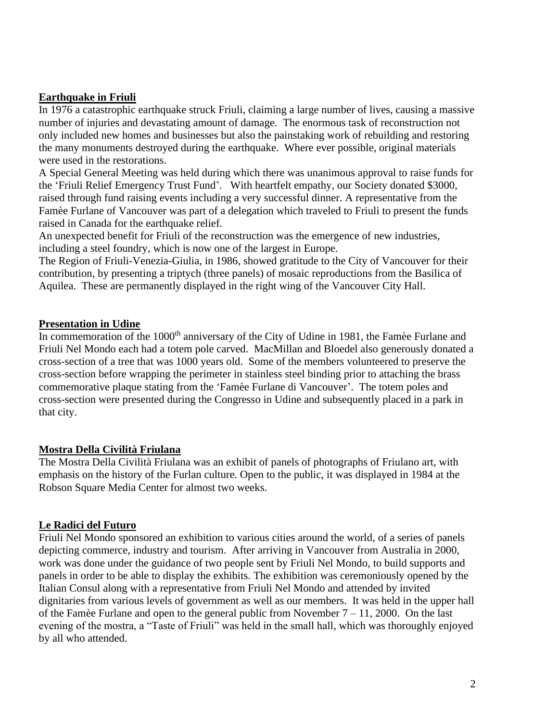## **Earthquake in Friuli**

In 1976 a catastrophic earthquake struck Friuli, claiming a large number of lives, causing a massive number of injuries and devastating amount of damage. The enormous task of reconstruction not only included new homes and businesses but also the painstaking work of rebuilding and restoring the many monuments destroyed during the earthquake. Where ever possible, original materials were used in the restorations.

A Special General Meeting was held during which there was unanimous approval to raise funds for the 'Friuli Relief Emergency Trust Fund'. With heartfelt empathy, our Society donated \$3000, raised through fund raising events including a very successful dinner. A representative from the Famèe Furlane of Vancouver was part of a delegation which traveled to Friuli to present the funds raised in Canada for the earthquake relief.

An unexpected benefit for Friuli of the reconstruction was the emergence of new industries, including a steel foundry, which is now one of the largest in Europe.

The Region of Friuli-Venezia-Giulia, in 1986, showed gratitude to the City of Vancouver for their contribution, by presenting a triptych (three panels) of mosaic reproductions from the Basilica of Aquilea. These are permanently displayed in the right wing of the Vancouver City Hall.

#### **Presentation in Udine**

In commemoration of the 1000<sup>th</sup> anniversary of the City of Udine in 1981, the Famèe Furlane and Friuli Nel Mondo each had a totem pole carved. MacMillan and Bloedel also generously donated a cross-section of a tree that was 1000 years old. Some of the members volunteered to preserve the cross-section before wrapping the perimeter in stainless steel binding prior to attaching the brass commemorative plaque stating from the 'Famèe Furlane di Vancouver'. The totem poles and cross-section were presented during the Congresso in Udine and subsequently placed in a park in that city.

# **Mostra Della Civilità Friulana**

The Mostra Della Civilità Friulana was an exhibit of panels of photographs of Friulano art, with emphasis on the history of the Furlan culture. Open to the public, it was displayed in 1984 at the Robson Square Media Center for almost two weeks.

# **Le Radici del Futuro**

Friuli Nel Mondo sponsored an exhibition to various cities around the world, of a series of panels depicting commerce, industry and tourism. After arriving in Vancouver from Australia in 2000, work was done under the guidance of two people sent by Friuli Nel Mondo, to build supports and panels in order to be able to display the exhibits. The exhibition was ceremoniously opened by the Italian Consul along with a representative from Friuli Nel Mondo and attended by invited dignitaries from various levels of government as well as our members. It was held in the upper hall of the Famèe Furlane and open to the general public from November  $7 - 11$ , 2000. On the last evening of the mostra, a "Taste of Friuli" was held in the small hall, which was thoroughly enjoyed by all who attended.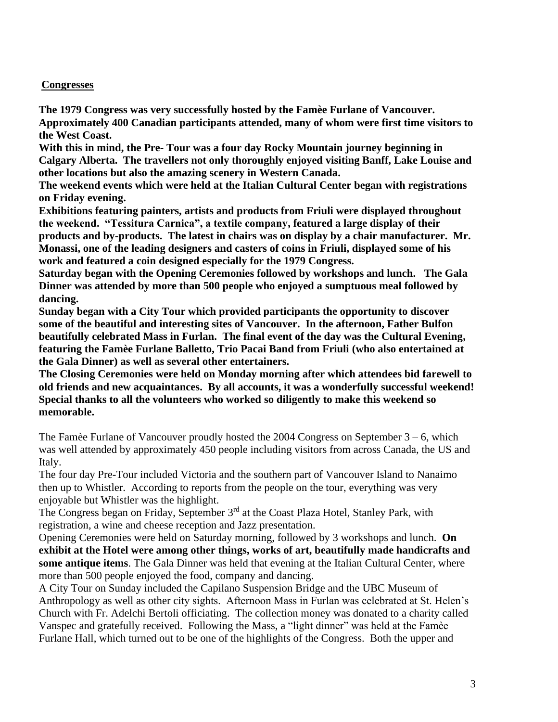#### **Congresses**

**The 1979 Congress was very successfully hosted by the Famèe Furlane of Vancouver. Approximately 400 Canadian participants attended, many of whom were first time visitors to the West Coast.**

**With this in mind, the Pre- Tour was a four day Rocky Mountain journey beginning in Calgary Alberta. The travellers not only thoroughly enjoyed visiting Banff, Lake Louise and other locations but also the amazing scenery in Western Canada.** 

**The weekend events which were held at the Italian Cultural Center began with registrations on Friday evening.** 

**Exhibitions featuring painters, artists and products from Friuli were displayed throughout the weekend. "Tessitura Carnica", a textile company, featured a large display of their products and by-products. The latest in chairs was on display by a chair manufacturer. Mr. Monassi, one of the leading designers and casters of coins in Friuli, displayed some of his work and featured a coin designed especially for the 1979 Congress.** 

**Saturday began with the Opening Ceremonies followed by workshops and lunch. The Gala Dinner was attended by more than 500 people who enjoyed a sumptuous meal followed by dancing.**

**Sunday began with a City Tour which provided participants the opportunity to discover some of the beautiful and interesting sites of Vancouver. In the afternoon, Father Bulfon beautifully celebrated Mass in Furlan. The final event of the day was the Cultural Evening, featuring the Famèe Furlane Balletto, Trio Pacai Band from Friuli (who also entertained at the Gala Dinner) as well as several other entertainers.**

**The Closing Ceremonies were held on Monday morning after which attendees bid farewell to old friends and new acquaintances. By all accounts, it was a wonderfully successful weekend! Special thanks to all the volunteers who worked so diligently to make this weekend so memorable.**

The Famèe Furlane of Vancouver proudly hosted the  $2004$  Congress on September  $3 - 6$ , which was well attended by approximately 450 people including visitors from across Canada, the US and Italy.

The four day Pre-Tour included Victoria and the southern part of Vancouver Island to Nanaimo then up to Whistler. According to reports from the people on the tour, everything was very enjoyable but Whistler was the highlight.

The Congress began on Friday, September 3<sup>rd</sup> at the Coast Plaza Hotel, Stanley Park, with registration, a wine and cheese reception and Jazz presentation.

Opening Ceremonies were held on Saturday morning, followed by 3 workshops and lunch. **On exhibit at the Hotel were among other things, works of art, beautifully made handicrafts and some antique items**. The Gala Dinner was held that evening at the Italian Cultural Center, where more than 500 people enjoyed the food, company and dancing.

A City Tour on Sunday included the Capilano Suspension Bridge and the UBC Museum of Anthropology as well as other city sights. Afternoon Mass in Furlan was celebrated at St. Helen's Church with Fr. Adelchi Bertoli officiating. The collection money was donated to a charity called Vanspec and gratefully received. Following the Mass, a "light dinner" was held at the Famèe Furlane Hall, which turned out to be one of the highlights of the Congress. Both the upper and